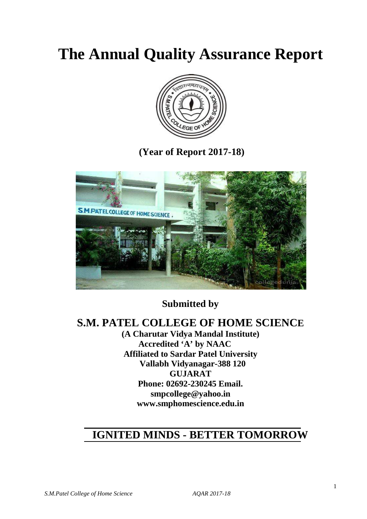# **The Annual Quality Assurance Report**



 **(Year of Report 2017-18)** 



**Submitted by**

# **S.M. PATEL COLLEGE OF HOME SCIENCE**

**(A Charutar Vidya Mandal Institute) Accredited 'A' by NAAC Affiliated to Sardar Patel University Vallabh Vidyanagar-388 120 GUJARAT Phone: 02692-230245 Email. smpcollege@yahoo.in www.smphomescience.edu.in** 

# **IGNITED MINDS - BETTER TOMORROW**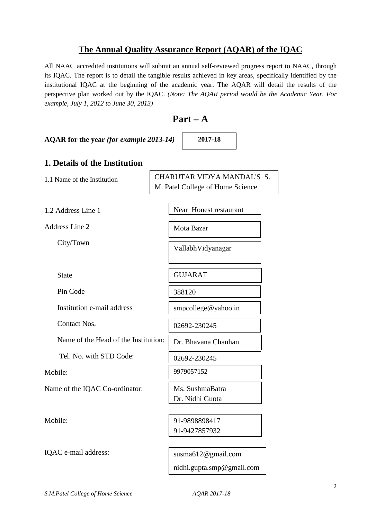### **The Annual Quality Assurance Report (AQAR) of the IQAC**

All NAAC accredited institutions will submit an annual self-reviewed progress report to NAAC, through its IQAC. The report is to detail the tangible results achieved in key areas, specifically identified by the institutional IQAC at the beginning of the academic year. The AQAR will detail the results of the perspective plan worked out by the IQAC. *(Note: The AQAR period would be the Academic Year. For example, July 1, 2012 to June 30, 2013)* 

# **Part – A**

**AQAR for the year** *(for example 2013-14)*

**2017-18**

### **1. Details of the Institution**

1.1 Name of the Institution 1.2 Address Line 1 Address Line 2 City/Town **State**  Pin Code Institution e-mail address Contact Nos. Name of the Head of the Institution: Tel. No. with STD Code: Mobile: Name of the IQAC Co-ordinator: Mobile: 02692-230245 CHARUTAR VIDYA MANDAL'S S. M. Patel College of Home Science Near Honest restaurant Mota Bazar VallabhVidyanagar GUJARAT 388120 smpcollege@yahoo.in Dr. Bhavana Chauhan 9979057152 Ms. SushmaBatra Dr. Nidhi Gupta 91-9898898417 91-9427857932 02692-230245

IQAC e-mail address: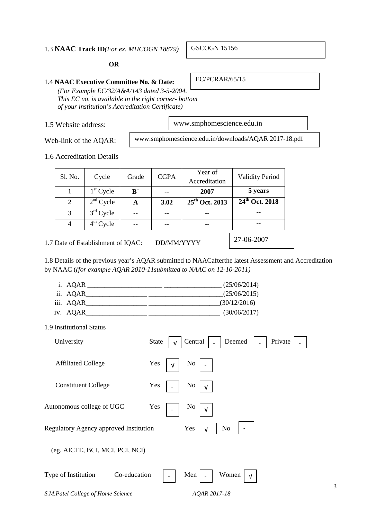#### 1.3 **NAAC Track ID***(For ex. MHCOGN 18879)*

#### **OR**

#### 1.4 **NAAC Executive Committee No. & Date:**

*(For Example EC/32/A&A/143 dated 3-5-2004. This EC no. is available in the right corner- bottom of your institution's Accreditation Certificate)* 

1.5 Website address:

www.smphomescience.edu.in

Web-link of the AQAR:

www.smphomescience.edu.in/downloads/AQAR 2017-18.pdf

1.6 Accreditation Details

| Sl. No.                            | Cycle       | Grade | <b>CGPA</b> | Year of<br>Accreditation   | <b>Validity Period</b>         |
|------------------------------------|-------------|-------|-------------|----------------------------|--------------------------------|
|                                    | $1st$ Cycle | $B^+$ |             | 2007                       | 5 years                        |
| 2                                  | $2nd$ Cycle | A     | 3.02        | 25 <sup>th</sup> Oct. 2013 | $\overline{24^{th}}$ Oct. 2018 |
| 3                                  | $3rd$ Cycle |       |             |                            |                                |
|                                    | $4th$ Cycle |       |             |                            |                                |
| 1.7 Date of Establishment of IQAC: | 27-06-2007  |       |             |                            |                                |

1.8 Details of the previous year's AQAR submitted to NAACafterthe latest Assessment and Accreditation by NAAC (*(for example AQAR 2010-11submitted to NAAC on 12-10-2011)*

- i.  $AQAR$  (25/06/2014)
- ii. AQAR $(25/06/2015)$
- iii. AQAR\_\_\_\_\_\_\_\_\_\_\_\_\_\_\_\_\_\_ \_\_\_\_\_\_\_\_\_\_\_\_\_\_\_\_\_\_\_\_\_(30/12/2016)
- iv. AQAR\_\_\_\_\_\_\_\_\_\_\_\_\_\_\_\_\_\_ \_\_\_\_\_\_\_\_\_\_\_\_\_\_\_\_\_\_\_\_\_ (30/06/2017)

| 1.9 Institutional Status |  |
|--------------------------|--|
|--------------------------|--|

| University                             | Central<br>Private<br>Deemed<br><b>State</b> |
|----------------------------------------|----------------------------------------------|
| <b>Affiliated College</b>              | Yes<br>N <sub>0</sub><br>V                   |
| <b>Constituent College</b>             | Yes<br>No<br>$\sqrt{ }$                      |
| Autonomous college of UGC              | Yes<br>No<br>v                               |
| Regulatory Agency approved Institution | Yes<br>N <sub>o</sub>                        |
| (eg. AICTE, BCI, MCI, PCI, NCI)        |                                              |
| Co-education<br>Type of Institution    | Men<br>Women                                 |
| S.M.Patel College of Home Science      | AQAR 2017-18                                 |

GSCOGN 15156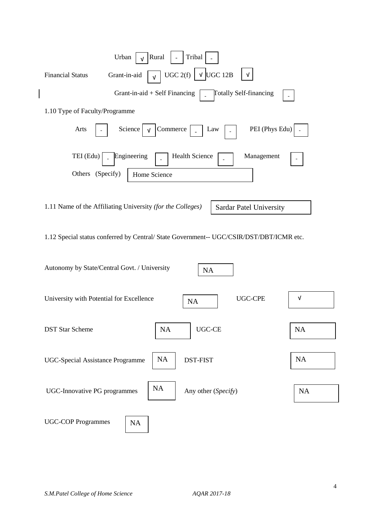| Urban<br>Rural<br>Tribal                                                                                           |            |
|--------------------------------------------------------------------------------------------------------------------|------------|
| UGC 2(f) $\vert$<br>$\sqrt{\text{UGC}}$ 12B<br>Grant-in-aid<br><b>Financial Status</b><br>$\sqrt{ }$<br>$\sqrt{ }$ |            |
| Grant-in-aid $+$ Self Financing<br><b>Totally Self-financing</b>                                                   |            |
| 1.10 Type of Faculty/Programme                                                                                     |            |
| Commerce<br>PEI (Phys Edu)<br>Arts<br>Science<br>Law<br>$\sqrt{ }$                                                 |            |
| TEI (Edu)<br><b>Health Science</b><br>Engineering<br>Management<br>Others (Specify)                                |            |
| Home Science                                                                                                       |            |
| 1.11 Name of the Affiliating University (for the Colleges)<br>Sardar Patel University                              |            |
| 1.12 Special status conferred by Central/ State Government-- UGC/CSIR/DST/DBT/ICMR etc.                            |            |
| Autonomy by State/Central Govt. / University<br>NA                                                                 |            |
| <b>UGC-CPE</b><br>University with Potential for Excellence<br>NA                                                   | $\sqrt{ }$ |
| $UGC-CE$<br><b>DST Star Scheme</b><br><b>NA</b>                                                                    | <b>NA</b>  |
| NA<br>DST-FIST<br><b>UGC-Special Assistance Programme</b>                                                          | NA         |
| <b>NA</b><br><b>UGC-Innovative PG programmes</b><br>Any other (Specify)                                            | <b>NA</b>  |
| <b>UGC-COP Programmes</b><br>NA                                                                                    |            |

 $\overline{\phantom{a}}$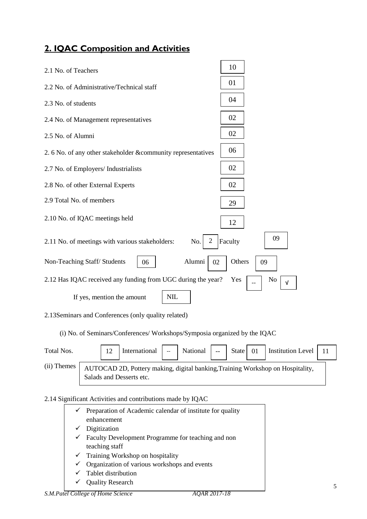# **2. IQAC Composition and Activities**

| 2.1 No. of Teachers                                           | 10                      |
|---------------------------------------------------------------|-------------------------|
| 2.2 No. of Administrative/Technical staff                     | 01                      |
| 2.3 No. of students                                           | 04                      |
| 2.4 No. of Management representatives                         | 02                      |
| 2.5 No. of Alumni                                             | 02                      |
| 2. 6 No. of any other stakeholder & community representatives | 06                      |
| 2.7 No. of Employers/ Industrialists                          | 02                      |
| 2.8 No. of other External Experts                             | 02                      |
| 2.9 Total No. of members                                      | 29                      |
| 2.10 No. of IQAC meetings held                                | 12                      |
| 2<br>2.11 No. of meetings with various stakeholders:<br>No.   | 09<br>Faculty           |
| Alumni<br>Non-Teaching Staff/Students<br>02<br>06             | Others<br>09            |
| 2.12 Has IQAC received any funding from UGC during the year?  | No<br>Yes<br>$\sqrt{ }$ |
| <b>NIL</b><br>If yes, mention the amount                      |                         |

2.13Seminars and Conferences (only quality related)

(i) No. of Seminars/Conferences/ Workshops/Symposia organized by the IQAC

| Total Nos.  |                          | International $\vert$ - | National | State 01 | Institution Level $\begin{bmatrix} 11 \end{bmatrix}$                           |  |
|-------------|--------------------------|-------------------------|----------|----------|--------------------------------------------------------------------------------|--|
| (ii) Themes | Salads and Desserts etc. |                         |          |          | AUTOCAD 2D, Pottery making, digital banking, Training Workshop on Hospitality, |  |

# 2.14 Significant Activities and contributions made by IQAC

|   | $\checkmark$ Preparation of Academic calendar of institute for quality |
|---|------------------------------------------------------------------------|
|   | enhancement                                                            |
|   | $\checkmark$ Digitization                                              |
|   | $\checkmark$ Faculty Development Programme for teaching and non        |
|   | teaching staff                                                         |
|   | $\checkmark$ Training Workshop on hospitality                          |
| ✓ | Organization of various workshops and events                           |
| ✓ | Tablet distribution                                                    |
|   | $\mathcal{L}$ Ouglity Decease                                          |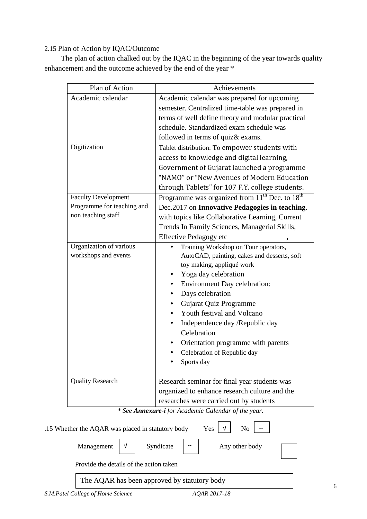### 2.15 Plan of Action by IQAC/Outcome

 The plan of action chalked out by the IQAC in the beginning of the year towards quality enhancement and the outcome achieved by the end of the year \*

| Plan of Action             | Achievements                                                           |  |  |  |  |  |
|----------------------------|------------------------------------------------------------------------|--|--|--|--|--|
| Academic calendar          | Academic calendar was prepared for upcoming                            |  |  |  |  |  |
|                            | semester. Centralized time-table was prepared in                       |  |  |  |  |  |
|                            | terms of well define theory and modular practical                      |  |  |  |  |  |
|                            | schedule. Standardized exam schedule was                               |  |  |  |  |  |
|                            | followed in terms of quiz & exams.                                     |  |  |  |  |  |
| Digitization               | Tablet distribution: To empower students with                          |  |  |  |  |  |
|                            | access to knowledge and digital learning,                              |  |  |  |  |  |
|                            | Government of Gujarat launched a programme                             |  |  |  |  |  |
|                            | "NAMO" or "New Avenues of Modern Education                             |  |  |  |  |  |
|                            | through Tablets" for 107 F.Y. college students.                        |  |  |  |  |  |
| <b>Faculty Development</b> | Programme was organized from 11 <sup>th</sup> Dec. to 18 <sup>th</sup> |  |  |  |  |  |
| Programme for teaching and | Dec.2017 on Innovative Pedagogies in teaching.                         |  |  |  |  |  |
| non teaching staff         | with topics like Collaborative Learning, Current                       |  |  |  |  |  |
|                            | Trends In Family Sciences, Managerial Skills,                          |  |  |  |  |  |
|                            | <b>Effective Pedagogy etc</b>                                          |  |  |  |  |  |
| Organization of various    | Training Workshop on Tour operators,                                   |  |  |  |  |  |
| workshops and events       | AutoCAD, painting, cakes and desserts, soft                            |  |  |  |  |  |
|                            | toy making, appliqué work                                              |  |  |  |  |  |
|                            | Yoga day celebration                                                   |  |  |  |  |  |
|                            | <b>Environment Day celebration:</b>                                    |  |  |  |  |  |
|                            | Days celebration                                                       |  |  |  |  |  |
|                            | Gujarat Quiz Programme                                                 |  |  |  |  |  |
|                            | Youth festival and Volcano                                             |  |  |  |  |  |
|                            | Independence day /Republic day                                         |  |  |  |  |  |
|                            | Celebration                                                            |  |  |  |  |  |
|                            | Orientation programme with parents                                     |  |  |  |  |  |
|                            | Celebration of Republic day                                            |  |  |  |  |  |
|                            | Sports day                                                             |  |  |  |  |  |
| <b>Quality Research</b>    | Research seminar for final year students was                           |  |  |  |  |  |
|                            | organized to enhance research culture and the                          |  |  |  |  |  |
|                            | researches were carried out by students                                |  |  |  |  |  |

*\* See Annexure-i for Academic Calendar of the year.* 

.15 Whether the AQAR was placed in statutory body Yes  $\vert \nu \vert$  $No$ 

Syndicate

Management  $\begin{vmatrix} v \end{vmatrix}$  Syndicate  $\begin{vmatrix} -1 \end{vmatrix}$  Any other body

Provide the details of the action taken

The AQAR has been approved by statutory body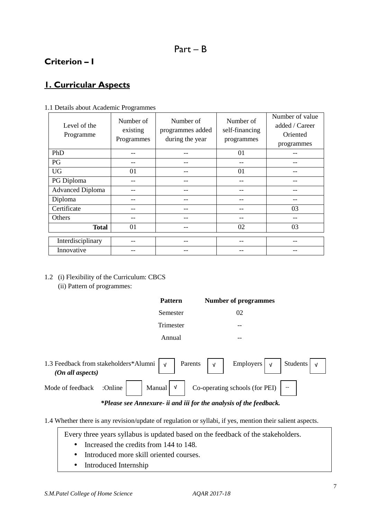# **Criterion – I**

# **1. Curricular Aspects**

| Level of the<br>Programme | Number of<br>existing<br>Programmes | Number of<br>programmes added<br>during the year | Number of<br>self-financing<br>programmes | Number of value<br>added / Career<br>Oriented<br>programmes |
|---------------------------|-------------------------------------|--------------------------------------------------|-------------------------------------------|-------------------------------------------------------------|
| PhD                       |                                     |                                                  | 01                                        |                                                             |
| PG                        |                                     | --                                               | --                                        |                                                             |
| <b>UG</b>                 | 01                                  |                                                  | 01                                        |                                                             |
| PG Diploma                |                                     |                                                  |                                           |                                                             |
| <b>Advanced Diploma</b>   |                                     | --                                               | --                                        |                                                             |
| Diploma                   |                                     |                                                  | --                                        |                                                             |
| Certificate               |                                     | --                                               | --                                        | 03                                                          |
| Others                    |                                     |                                                  |                                           |                                                             |
| <b>Total</b>              | 01                                  |                                                  | 02                                        | 03                                                          |
| Interdisciplinary         |                                     |                                                  |                                           |                                                             |
| Innovative                |                                     |                                                  |                                           |                                                             |

1.1 Details about Academic Programmes

1.2 (i) Flexibility of the Curriculum: CBCS (ii) Pattern of programmes:

|                                                                                                | <b>Pattern</b> |         |            | <b>Number of programmes</b> |                            |  |
|------------------------------------------------------------------------------------------------|----------------|---------|------------|-----------------------------|----------------------------|--|
|                                                                                                | Semester       |         |            | 02                          |                            |  |
|                                                                                                | Trimester      |         |            | --                          |                            |  |
|                                                                                                | Annual         |         |            | --                          |                            |  |
| 1.3 Feedback from stakeholders*Alumni $\vert \gamma \vert$<br>$(\Omega n \text{ all } \Omega)$ |                | Parents | $\sqrt{ }$ | Employers  <br>$\sqrt{ }$   | Students $\vert \nu \vert$ |  |

|  |  | Mode of feedback : Online $\begin{vmatrix} 1 & 0 \\ 0 & 1 \end{vmatrix}$ Manual $\begin{vmatrix} 1 & 0 \\ 0 & 1 \end{vmatrix}$ Co-operating schools (for PEI) |  |
|--|--|---------------------------------------------------------------------------------------------------------------------------------------------------------------|--|
|  |  |                                                                                                                                                               |  |

#### *\*Please see Annexure- ii and iii for the analysis of the feedback.*

1.4 Whether there is any revision/update of regulation or syllabi, if yes, mention their salient aspects.

Every three years syllabus is updated based on the feedback of the stakeholders.

- Increased the credits from 144 to 148.
- Introduced more skill oriented courses.
- Introduced Internship

 *(On all aspects)*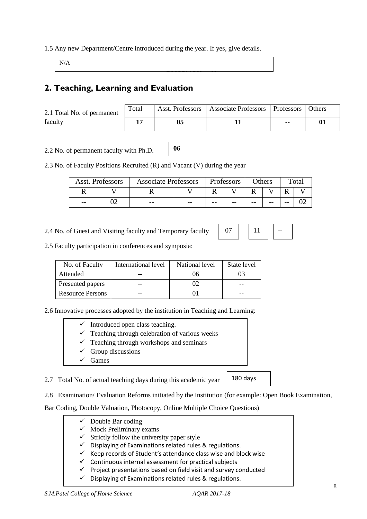#### 1.5 Any new Department/Centre introduced during the year. If yes, give details.

N/A

# **2. Teaching, Learning and Evaluation**

2.1 Total No. of permanent faculty

| Total | Asst. Professors   Associate Professors   Professors   Others |    |  |
|-------|---------------------------------------------------------------|----|--|
| 17    |                                                               | -- |  |

2.2 No. of permanent faculty with Ph.D.

2.3 No. of Faculty Positions Recruited (R) and Vacant (V) during the year

|       | Asst. Professors | <b>Associate Professors</b> |       | Professors |       | Others |       | $\tau$ <sub>otal</sub> |  |
|-------|------------------|-----------------------------|-------|------------|-------|--------|-------|------------------------|--|
|       |                  |                             |       |            |       |        |       |                        |  |
| $- -$ |                  | $- -$                       | $- -$ | $- -$      | $- -$ | $- -$  | $- -$ | $ -$                   |  |

**06** 

**Criterion – II** 

2.4 No. of Guest and Visiting faculty and Temporary faculty



180 days

2.5 Faculty participation in conferences and symposia:

| No. of Faculty          | International level | National level | State level |
|-------------------------|---------------------|----------------|-------------|
| Attended                |                     | 06             |             |
| Presented papers        | --                  | 02             |             |
| <b>Resource Persons</b> |                     |                |             |

2.6 Innovative processes adopted by the institution in Teaching and Learning:

- $\checkmark$  Introduced open class teaching.
- $\checkmark$  Teaching through celebration of various weeks
- Teaching through workshops and seminars
- $\checkmark$  Group discussions
- Games

2.7 Total No. of actual teaching days during this academic year

2.8 Examination/ Evaluation Reforms initiated by the Institution (for example: Open Book Examination,

Bar Coding, Double Valuation, Photocopy, Online Multiple Choice Questions)

- $\checkmark$  Double Bar coding  $\checkmark$  Mock Preliminary exams  $\checkmark$  Strictly follow the university paper style  $\checkmark$  Displaying of Examinations related rules & regulations.  $\checkmark$  Keep records of Student's attendance class wise and block wise
	- $\checkmark$  Continuous internal assessment for practical subjects
	- $\checkmark$  Project presentations based on field visit and survey conducted
	- $\checkmark$  Displaying of Examinations related rules & regulations.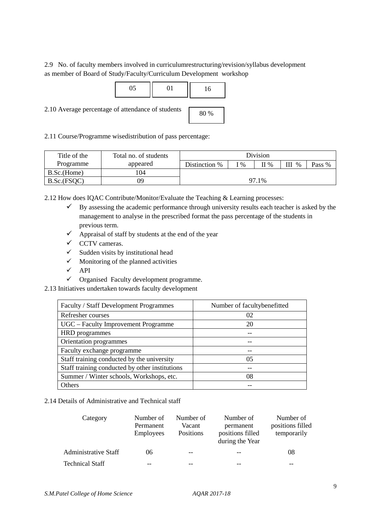2.9 No. of faculty members involved in curriculumrestructuring/revision/syllabus development as member of Board of Study/Faculty/Curriculum Development workshop



2.11 Course/Programme wisedistribution of pass percentage:

| Title of the | Total no. of students |               |                 | <b>Division</b> |      |        |
|--------------|-----------------------|---------------|-----------------|-----------------|------|--------|
| Programme    | appeared              | Distinction % | $\mathcal{O}_0$ | $\Pi$ %         | $\%$ | Pass % |
| B.Sc.(Home)  | 104                   |               |                 |                 |      |        |
| B.Sc.(FSQC)  | 09                    |               |                 | 97.1%           |      |        |

2.12 How does IQAC Contribute/Monitor/Evaluate the Teaching & Learning processes:

- $\checkmark$  By assessing the academic performance through university results each teacher is asked by the management to analyse in the prescribed format the pass percentage of the students in previous term.
- $\checkmark$  Appraisal of staff by students at the end of the year
- $\checkmark$  CCTV cameras.
- $\checkmark$  Sudden visits by institutional head
- $\checkmark$  Monitoring of the planned activities
- $\checkmark$  API
- $\checkmark$  Organised Faculty development programme.
- 2.13 Initiatives undertaken towards faculty development

| Faculty / Staff Development Programmes         | Number of facultybenefitted |
|------------------------------------------------|-----------------------------|
| Refresher courses                              | 02                          |
| UGC – Faculty Improvement Programme            | 20                          |
| <b>HRD</b> programmes                          |                             |
| Orientation programmes                         |                             |
| Faculty exchange programme                     |                             |
| Staff training conducted by the university     | 05                          |
| Staff training conducted by other institutions |                             |
| Summer / Winter schools, Workshops, etc.       | 08                          |
| Others                                         |                             |

2.14 Details of Administrative and Technical staff

| Category               | Number of<br>Permanent<br><b>Employees</b> | Number of<br>Vacant<br><b>Positions</b> | Number of<br>permanent<br>positions filled<br>during the Year | Number of<br>positions filled<br>temporarily |
|------------------------|--------------------------------------------|-----------------------------------------|---------------------------------------------------------------|----------------------------------------------|
| Administrative Staff   | 06                                         | --                                      | --                                                            | 08                                           |
| <b>Technical Staff</b> |                                            |                                         |                                                               | --                                           |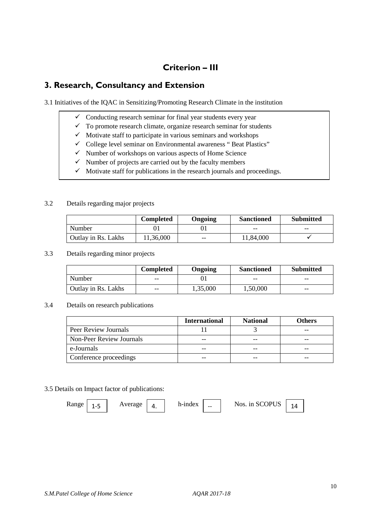# **Criterion – III**

# **3. Research, Consultancy and Extension**

3.1 Initiatives of the IQAC in Sensitizing/Promoting Research Climate in the institution

- $\checkmark$  Conducting research seminar for final year students every year
- $\checkmark$  To promote research climate, organize research seminar for students
- $\checkmark$  Motivate staff to participate in various seminars and workshops
- $\checkmark$  College level seminar on Environmental awareness "Beat Plastics"
- $\checkmark$  Number of workshops on various aspects of Home Science
- $\checkmark$  Number of projects are carried out by the faculty members
- $\checkmark$  Motivate staff for publications in the research journals and proceedings.

#### 3.2 Details regarding major projects

|                     | Completed | Ongoing | <b>Sanctioned</b> | <b>Submitted</b> |
|---------------------|-----------|---------|-------------------|------------------|
| Number              |           |         | --                | --               |
| Outlay in Rs. Lakhs | 11,36,000 | $- -$   | 11,84,000         |                  |

#### 3.3 Details regarding minor projects

|                     | <b>Completed</b> | Ongoing  | <b>Sanctioned</b> | <b>Submitted</b> |
|---------------------|------------------|----------|-------------------|------------------|
| Number              | $- -$            |          | --                | $- -$            |
| Outlay in Rs. Lakhs | $- -$            | 1,35,000 | 1,50,000          | $- -$            |

#### 3.4 Details on research publications

|                          | <b>International</b> | <b>National</b> | <b>Others</b> |
|--------------------------|----------------------|-----------------|---------------|
| Peer Review Journals     |                      |                 |               |
| Non-Peer Review Journals | --                   | --              |               |
| e-Journals               | --                   | --              |               |
| Conference proceedings   | --                   |                 |               |

#### 3.5 Details on Impact factor of publications:

Range  $\begin{array}{|c|c|c|c|c|c|c|c|} \hline 1 & -5 & \text{Average} & 4. & \text{h-index} & - & \text{Nos. in SCOPUS} & 14. \hline \end{array}$ 

*S.M.Patel College of Home Science AQAR 2017-18*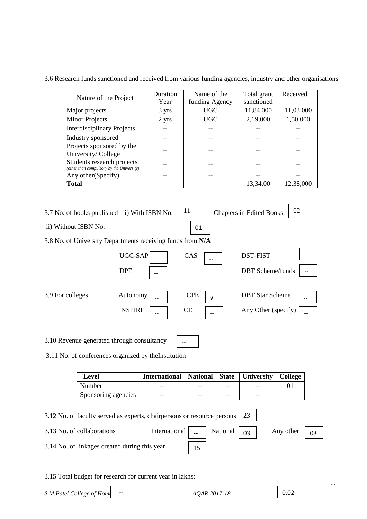3.6 Research funds sanctioned and received from various funding agencies, industry and other organisations

| Nature of the Project                                                   | Duration        | Name of the    | Total grant | Received  |
|-------------------------------------------------------------------------|-----------------|----------------|-------------|-----------|
|                                                                         | Year            | funding Agency | sanctioned  |           |
| Major projects                                                          | 3 yrs           | <b>UGC</b>     | 11,84,000   | 11,03,000 |
| <b>Minor Projects</b>                                                   | $2 \text{ yrs}$ | <b>UGC</b>     | 2,19,000    | 1,50,000  |
| <b>Interdisciplinary Projects</b>                                       |                 |                |             |           |
| Industry sponsored                                                      |                 |                |             |           |
| Projects sponsored by the                                               |                 |                |             |           |
| University/College                                                      |                 |                |             |           |
| Students research projects<br>(other than compulsory by the University) |                 |                |             |           |
| Any other (Specify)                                                     |                 |                |             |           |
| <b>Total</b>                                                            |                 |                | 13,34,00    | 12,38,000 |

3.7 No. of books published i) With ISBN No.  $\begin{bmatrix} 11 \end{bmatrix}$  ii) Without ISBN No. 01 Chapters in Edited Books  $\begin{vmatrix} 02 \end{vmatrix}$ 

3.8 No. of University Departments receiving funds from:**N/A**

|                  | UGC-SAP<br><b>DPE</b><br>--                | CAS<br>$- -$                                   | <b>DST-FIST</b><br><b>DBT</b> Scheme/funds    |  |
|------------------|--------------------------------------------|------------------------------------------------|-----------------------------------------------|--|
| 3.9 For colleges | Autonomy<br><b>INSPIRE</b><br>--           | <b>CPE</b><br>$\sqrt{ }$<br><b>CE</b><br>$- -$ | <b>DBT</b> Star Scheme<br>Any Other (specify) |  |
|                  | 3.10 Revenue generated through consultancy | --                                             |                                               |  |

3.11 No. of conferences organized by theInstitution

| Level               | International   National   State   University   College |       |    |       |  |
|---------------------|---------------------------------------------------------|-------|----|-------|--|
| Number              | --                                                      | $- -$ | -- | --    |  |
| Sponsoring agencies | --                                                      | $- -$ | -- | $- -$ |  |

3.12 No. of faculty served as experts, chairpersons or resource persons 3.13 No. of collaborations International  $\vert$   $\vert$   $\vert$  National  $\vert$  03 3.14 No. of linkages created during this year 23 Any other  $\begin{array}{|c|c|}$  03 15

3.15 Total budget for research for current year in lakhs:

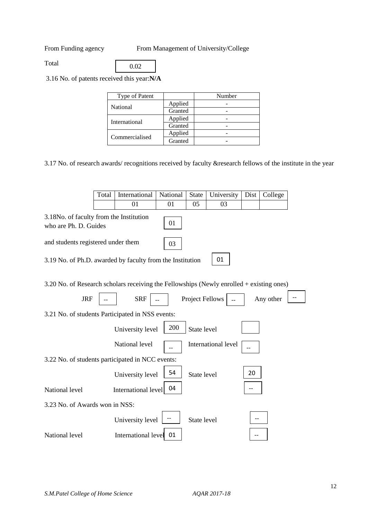From Funding agency From Management of University/College

Total

0.02

3.16 No. of patents received this year:**N/A**

| Type of Patent |         | Number |
|----------------|---------|--------|
| National       | Applied |        |
|                | Granted |        |
| International  | Applied |        |
|                | Granted |        |
|                | Applied |        |
| Commercialised | Granted |        |

3.17 No. of research awards/ recognitions received by faculty &research fellows of the institute in the year

|                                                                                          | Total | International       | National | <b>State</b>           | University          | Dist | College   |  |
|------------------------------------------------------------------------------------------|-------|---------------------|----------|------------------------|---------------------|------|-----------|--|
|                                                                                          |       | 01                  | 01       | 05                     | 03                  |      |           |  |
| 3.18No. of faculty from the Institution<br>who are Ph. D. Guides                         |       |                     | 01       |                        |                     |      |           |  |
| and students registered under them                                                       |       |                     | 03       |                        |                     |      |           |  |
| 3.19 No. of Ph.D. awarded by faculty from the Institution                                |       |                     |          |                        | 01                  |      |           |  |
| 3.20 No. of Research scholars receiving the Fellowships (Newly enrolled + existing ones) |       |                     |          |                        |                     |      |           |  |
| <b>JRF</b>                                                                               |       | <b>SRF</b>          |          | <b>Project Fellows</b> |                     |      | Any other |  |
| 3.21 No. of students Participated in NSS events:                                         |       |                     |          |                        |                     |      |           |  |
|                                                                                          |       | University level    | 200      | State level            |                     |      |           |  |
|                                                                                          |       | National level      |          |                        | International level |      |           |  |
| 3.22 No. of students participated in NCC events:                                         |       |                     |          |                        |                     |      |           |  |
|                                                                                          |       | University level    | 54       | State level            |                     | 20   |           |  |
| National level                                                                           |       | International level | 04       |                        |                     |      |           |  |
| 3.23 No. of Awards won in NSS:                                                           |       |                     |          |                        |                     |      |           |  |
|                                                                                          |       | University level    |          | State level            |                     |      |           |  |
| National level                                                                           |       | International level | 01       |                        |                     |      |           |  |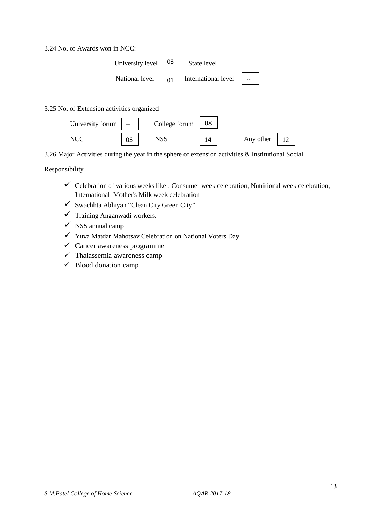3.24 No. of Awards won in NCC:



#### 3.25 No. of Extension activities organized



3.26 Major Activities during the year in the sphere of extension activities & Institutional Social

#### Responsibility

- $\checkmark$  Celebration of various weeks like : Consumer week celebration, Nutritional week celebration, International Mother's Milk week celebration
- $\checkmark$  Swachhta Abhiyan "Clean City Green City"
- $\checkmark$  Training Anganwadi workers.
- $\checkmark$  NSS annual camp
- Yuva Matdar Mahotsav Celebration on National Voters Day
- $\checkmark$  Cancer awareness programme
- $\checkmark$  Thalassemia awareness camp
- $\checkmark$  Blood donation camp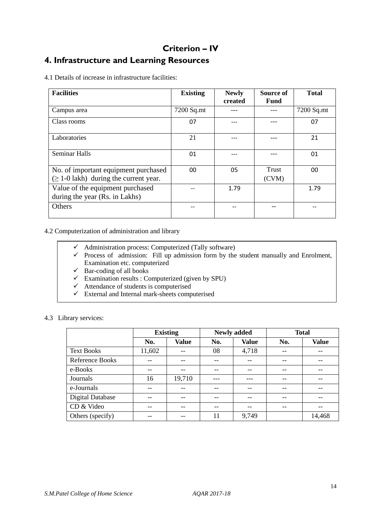# **Criterion – IV 4. Infrastructure and Learning Resources**

4.1 Details of increase in infrastructure facilities:

| <b>Facilities</b>                                                                   | <b>Existing</b> | <b>Newly</b><br>created | Source of<br>Fund | <b>Total</b> |
|-------------------------------------------------------------------------------------|-----------------|-------------------------|-------------------|--------------|
| Campus area                                                                         | 7200 Sq.mt      |                         |                   | 7200 Sq.mt   |
| Class rooms                                                                         | 07              |                         |                   | 07           |
| Laboratories                                                                        | 21              |                         |                   | 21           |
| <b>Seminar Halls</b>                                                                | 01              |                         |                   | 01           |
| No. of important equipment purchased<br>$(\geq 1$ -0 lakh) during the current year. | 00              | 05                      | Trust<br>(CVM)    | 00           |
| Value of the equipment purchased<br>during the year (Rs. in Lakhs)                  |                 | 1.79                    |                   | 1.79         |
| Others                                                                              |                 |                         |                   |              |

4.2 Computerization of administration and library

- $\checkmark$  Administration process: Computerized (Tally software)
- $\checkmark$  Process of admission: Fill up admission form by the student manually and Enrolment, Examination etc. computerized
- $\overline{\smash{\big)}\ }$  Bar-coding of all books
- $\checkmark$  Examination results : Computerized (given by SPU)
- $\checkmark$  Attendance of students is computerised
- $\checkmark$  External and Internal mark-sheets computerised

#### 4.3 Library services:

|                   | <b>Existing</b> |              |      | <b>Newly added</b> | <b>Total</b> |              |  |
|-------------------|-----------------|--------------|------|--------------------|--------------|--------------|--|
|                   | No.             | <b>Value</b> | No.  | <b>Value</b>       | No.          | <b>Value</b> |  |
| <b>Text Books</b> | 11,602          |              | 08   | 4,718              |              |              |  |
| Reference Books   | --              |              |      |                    | --           |              |  |
| e-Books           | --              | --           |      | --                 |              |              |  |
| Journals          | 16              | 19,710       |      | ---                | --           |              |  |
| e-Journals        | $- -$           | --           | $ -$ | --                 | --           | --           |  |
| Digital Database  | --              |              |      |                    |              |              |  |
| CD & Video        | $- -$           | --           | --   | --                 | --           | --           |  |
| Others (specify)  | --              |              | 11   | 9,749              |              | 14,468       |  |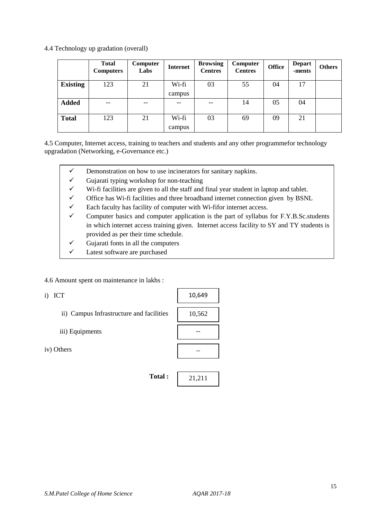4.4 Technology up gradation (overall)

|                 | <b>Total</b><br><b>Computers</b> | Computer<br>Labs | <b>Internet</b> | <b>Browsing</b><br><b>Centres</b> | Computer<br><b>Centres</b> | <b>Office</b> | <b>Depart</b><br>-ments | <b>Others</b> |
|-----------------|----------------------------------|------------------|-----------------|-----------------------------------|----------------------------|---------------|-------------------------|---------------|
| <b>Existing</b> | 123                              | 21               | Wi-fi<br>campus | 03                                | 55                         | 04            | 17                      |               |
| <b>Added</b>    | --                               | --               | --              |                                   | 14                         | 05            | 04                      |               |
| <b>Total</b>    | 123                              | 21               | Wi-fi<br>campus | 03                                | 69                         | 09            | 21                      |               |

4.5 Computer, Internet access, training to teachers and students and any other programmefor technology upgradation (Networking, e-Governance etc.)

- $\checkmark$  Demonstration on how to use incinerators for sanitary napkins.
- $\checkmark$  Gujarati typing workshop for non-teaching
- $\checkmark$  Wi-fi facilities are given to all the staff and final year student in laptop and tablet.
- $\checkmark$  Office has Wi-fi facilities and three broadband internet connection given by BSNL
- $\checkmark$  Each faculty has facility of computer with Wi-fifor internet access.

**Total :**

- $\checkmark$  Computer basics and computer application is the part of syllabus for F.Y.B.Sc.students in which internet access training given. Internet access facility to SY and TY students is provided as per their time schedule.
- $\checkmark$  Gujarati fonts in all the computers
- $\checkmark$  Latest software are purchased

4.6 Amount spent on maintenance in lakhs :

i) ICT

- ii) Campus Infrastructure and facilities
- iii) Equipments

iv) Others

10,649 10,562 -- --

21,211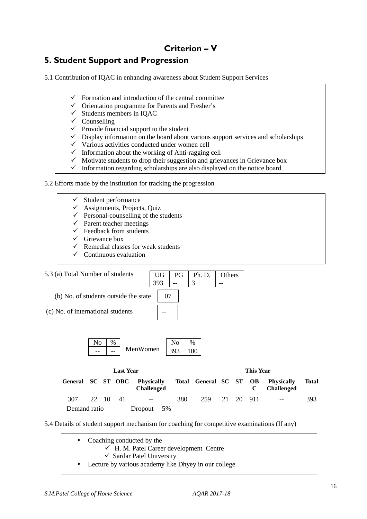# **Criterion – V**

# **5. Student Support and Progression**

5.1 Contribution of IQAC in enhancing awareness about Student Support Services

- $\checkmark$  Formation and introduction of the central committee
- $\checkmark$  Orientation programme for Parents and Fresher's
- $\checkmark$  Students members in IQAC
- $\checkmark$  Counselling
- $\checkmark$  Provide financial support to the student
- $\checkmark$  Display information on the board about various support services and scholarships
- $\checkmark$  Various activities conducted under women cell
- $\checkmark$  Information about the working of Anti-ragging cell
- $\checkmark$  Motivate students to drop their suggestion and grievances in Grievance box
- $\checkmark$  Information regarding scholarships are also displayed on the notice board

#### 5.2 Efforts made by the institution for tracking the progression

- $\checkmark$  Student performance
- $\checkmark$  Assignments, Projects, Quiz
- $\checkmark$  Personal-counselling of the students
- $\checkmark$  Parent teacher meetings
- $\checkmark$  Feedback from students
- Grievance box
- Remedial classes for weak students
- Continuous evaluation

Demand ratio Dropout 5%



5.4 Details of student support mechanism for coaching for competitive examinations (If any)

| • Coaching conducted by the                            |
|--------------------------------------------------------|
| $\checkmark$ H. M. Patel Career development Centre     |
| $\checkmark$ Sardar Patel University                   |
| • Lecture by various academy like Dhyey in our college |
|                                                        |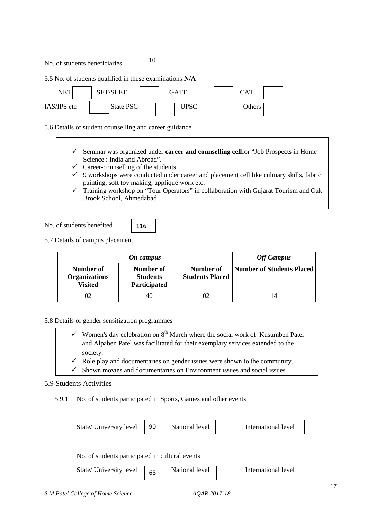No. of students beneficiaries



5.5 No. of students qualified in these examinations:**N/A**



5.6 Details of student counselling and career guidance

- Seminar was organized under **career and counselling cell**for "Job Prospects in Home Science : India and Abroad".
- $\checkmark$  Career-counselling of the students
- $\checkmark$  9 workshops were conducted under career and placement cell like culinary skills, fabric painting, soft toy making, appliqué work etc.
- $\checkmark$  Training workshop on "Tour Operators" in collaboration with Gujarat Tourism and Oak Brook School, Ahmedabad

No. of students benefited

| e.<br>I |  |
|---------|--|
|---------|--|

5.7 Details of campus placement

|                                                     | On campus                                    |                                     | <b>Off Campus</b>         |
|-----------------------------------------------------|----------------------------------------------|-------------------------------------|---------------------------|
| Number of<br><b>Organizations</b><br><b>Visited</b> | Number of<br><b>Students</b><br>Participated | Number of<br><b>Students Placed</b> | Number of Students Placed |
| 02                                                  | 40.                                          |                                     | 14                        |

5.8 Details of gender sensitization programmes

Women's day celebration on 8<sup>th</sup> March where the social work of Kusumben Patel and Alpaben Patel was facilitated for their exemplary services extended to the society.

Role play and documentaries on gender issues were shown to the community.

 $\checkmark$  Shown movies and documentaries on Environment issues and social issues

#### 5.9 Students Activities

5.9.1 No. of students participated in Sports, Games and other events

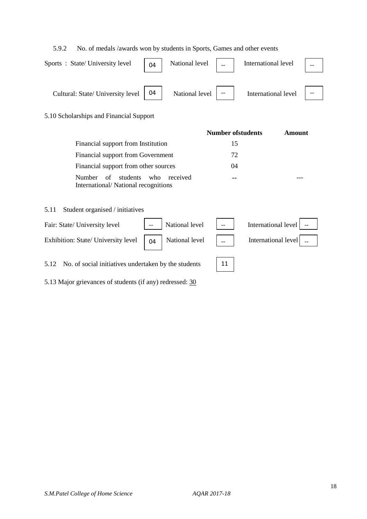### 5.9.2 No. of medals /awards won by students in Sports, Games and other events

| Sports: State/University level         | 04 | National level $\ $      | International level |  |
|----------------------------------------|----|--------------------------|---------------------|--|
| Cultural: State/ University level   04 |    | National level $\vert -$ | International level |  |

### 5.10 Scholarships and Financial Support

|                                                                        | <b>Number of students</b> | Amount |
|------------------------------------------------------------------------|---------------------------|--------|
| Financial support from Institution                                     | 15                        |        |
| Financial support from Government                                      | 72                        |        |
| Financial support from other sources                                   | 04                        |        |
| Number of students who received<br>International/National recognitions |                           |        |

#### 5.11 Student organised / initiatives

| Fair: State/ University level                                                                                                                                                                                       | $-$ | National level | $\mathbf{I}$ and $\mathbf{I}$ | International level   -- |
|---------------------------------------------------------------------------------------------------------------------------------------------------------------------------------------------------------------------|-----|----------------|-------------------------------|--------------------------|
| Exhibition: State/ University level $\begin{vmatrix} 0 & 1 \\ 0 & 1 \end{vmatrix}$ National level $\begin{vmatrix} 1 & 1 \\ 0 & 1 \end{vmatrix}$ International level $\begin{vmatrix} 1 & 1 \\ 0 & 1 \end{vmatrix}$ |     |                |                               |                          |
| 5.12 No. of social initiatives undertaken by the students                                                                                                                                                           |     |                |                               |                          |

5.13 Major grievances of students (if any) redressed: 30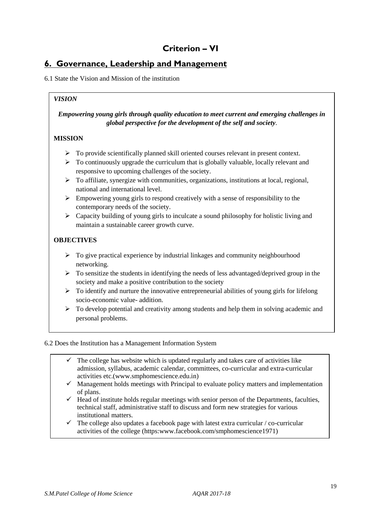# **Criterion – VI**

# **6. Governance, Leadership and Management**

6.1 State the Vision and Mission of the institution

# *Empowering young girls through quality education to meet current and emerging challenges in global perspective for the development of the self and society*.

#### **MISSION**

*VISION* 

- > To provide scientifically planned skill oriented courses relevant in present context.
- > To continuously upgrade the curriculum that is globally valuable, locally relevant and responsive to upcoming challenges of the society.
- > To affiliate, synergize with communities, organizations, institutions at local, regional, national and international level.
- Empowering young girls to respond creatively with a sense of responsibility to the contemporary needs of the society.
- > Capacity building of young girls to inculcate a sound philosophy for holistic living and maintain a sustainable career growth curve.

### **OBJECTIVES**

- > To give practical experience by industrial linkages and community neighbourhood networking.
- > To sensitize the students in identifying the needs of less advantaged/deprived group in the society and make a positive contribution to the society
- > To identify and nurture the innovative entrepreneurial abilities of young girls for lifelong socio-economic value- addition.
- > To develop potential and creativity among students and help them in solving academic and personal problems.

#### 6.2 Does the Institution has a Management Information System

- $\checkmark$  The college has website which is updated regularly and takes care of activities like admission, syllabus, academic calendar, committees, co-curricular and extra-curricular activities etc.(www.smphomescience.edu.in)
- $\checkmark$  Management holds meetings with Principal to evaluate policy matters and implementation of plans.
- $\checkmark$  Head of institute holds regular meetings with senior person of the Departments, faculties, technical staff, administrative staff to discuss and form new strategies for various institutional matters.
- $\checkmark$  The college also updates a facebook page with latest extra curricular / co-curricular activities of the college (https:www.facebook.com/smphomescience1971)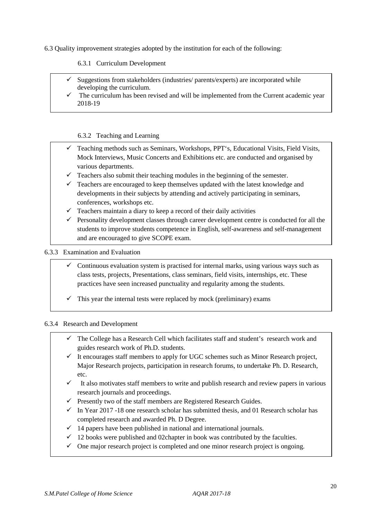6.3 Quality improvement strategies adopted by the institution for each of the following:

#### 6.3.1 Curriculum Development

- $\checkmark$  Suggestions from stakeholders (industries/ parents/experts) are incorporated while developing the curriculum.
- $\checkmark$  The curriculum has been revised and will be implemented from the Current academic year 2018-19

#### 6.3.2 Teaching and Learning

- $\checkmark$  Teaching methods such as Seminars, Workshops, PPT's, Educational Visits, Field Visits, Mock Interviews, Music Concerts and Exhibitions etc. are conducted and organised by various departments.
- $\checkmark$  Teachers also submit their teaching modules in the beginning of the semester.
- $\checkmark$  Teachers are encouraged to keep themselves updated with the latest knowledge and developments in their subjects by attending and actively participating in seminars, conferences, workshops etc.
- $\checkmark$  Teachers maintain a diary to keep a record of their daily activities
- $\checkmark$  Personality development classes through career development centre is conducted for all the students to improve students competence in English, self-awareness and self-management and are encouraged to give SCOPE exam.

6.3.3 Examination and Evaluation

- $\checkmark$  Continuous evaluation system is practised for internal marks, using various ways such as class tests, projects, Presentations, class seminars, field visits, internships, etc. These practices have seen increased punctuality and regularity among the students.
- $\checkmark$  This year the internal tests were replaced by mock (preliminary) exams

#### 6.3.4 Research and Development

- $\checkmark$  The College has a Research Cell which facilitates staff and student's research work and guides research work of Ph.D. students.
- $\checkmark$  It encourages staff members to apply for UGC schemes such as Minor Research project, Major Research projects, participation in research forums, to undertake Ph. D. Research, etc.
- $\checkmark$  It also motivates staff members to write and publish research and review papers in various research journals and proceedings.
- $\checkmark$  Presently two of the staff members are Registered Research Guides.
- $\checkmark$  In Year 2017 -18 one research scholar has submitted thesis, and 01 Research scholar has completed research and awarded Ph. D Degree.
- $\checkmark$  14 papers have been published in national and international journals.
- $\checkmark$  12 books were published and 02chapter in book was contributed by the faculties.
- $\checkmark$  One major research project is completed and one minor research project is ongoing.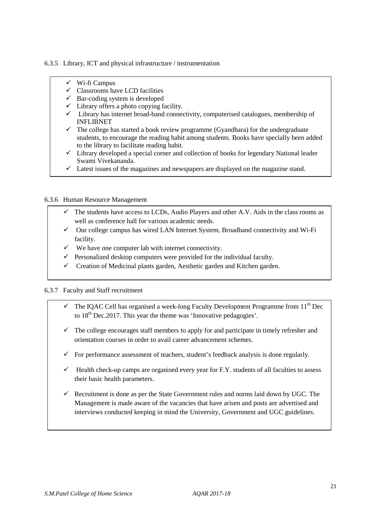#### 6.3.5 Library, ICT and physical infrastructure / instrumentation

- $\checkmark$  Wi-fi Campus
- $\checkmark$  Classrooms have LCD facilities
- $\checkmark$  Bar-coding system is developed
- $\checkmark$  Library offers a photo copying facility.
- $\checkmark$  Library has internet broad-band connectivity, computerised catalogues, membership of INFLIBNET
- $\checkmark$  The college has started a book review programme (Gyandhara) for the undergraduate students, to encourage the reading habit among students. Books have specially been added to the library to facilitate reading habit.
- $\checkmark$  Library developed a special corner and collection of books for legendary National leader Swami Vivekananda.
- $\checkmark$  Latest issues of the magazines and newspapers are displayed on the magazine stand.

#### 6.3.6 Human Resource Management

- $\checkmark$  The students have access to LCDs, Audio Players and other A.V. Aids in the class rooms as well as conference hall for various academic needs.
- $\checkmark$  Our college campus has wired LAN Internet System, Broadband connectivity and Wi-Fi facility.
- $\checkmark$  We have one computer lab with internet connectivity.
- $\checkmark$  Personalized desktop computers were provided for the individual faculty.
- $\checkmark$  Creation of Medicinal plants garden, Aesthetic garden and Kitchen garden.

#### 6.3.7 Faculty and Staff recruitment

- The IQAC Cell has organised a week-long Faculty Development Programme from 11<sup>th</sup> Dec to  $18<sup>th</sup>$  Dec. 2017. This year the theme was 'Innovative pedagogies'.
- $\checkmark$  The college encourages staff members to apply for and participate in timely refresher and orientation courses in order to avail career advancement schemes.
- $\checkmark$  For performance assessment of teachers, student's feedback analysis is done regularly.
- $\checkmark$  Health check-up camps are organised every year for F.Y. students of all faculties to assess their basic health parameters.
- $\checkmark$  Recruitment is done as per the State Government rules and norms laid down by UGC. The Management is made aware of the vacancies that have arisen and posts are advertised and interviews conducted keeping in mind the University, Government and UGC guidelines.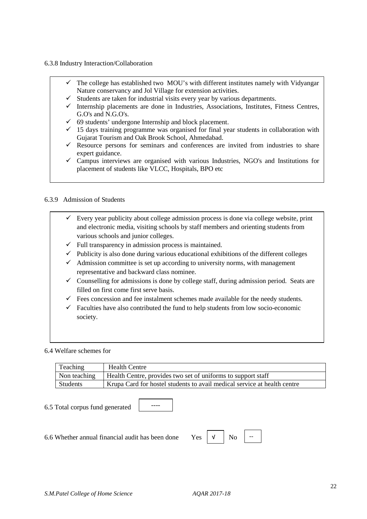#### 6.3.8 Industry Interaction/Collaboration

- $\checkmark$  The college has established two MOU's with different institutes namely with Vidyangar Nature conservancy and Jol Village for extension activities.
- $\checkmark$  Students are taken for industrial visits every year by various departments.
- $\checkmark$  Internship placements are done in Industries, Associations, Institutes, Fitness Centres, G.O's and N.G.O's.
- $69$  students' undergone Internship and block placement.
- $\checkmark$  15 days training programme was organised for final year students in collaboration with Gujarat Tourism and Oak Brook School, Ahmedabad.
- $\checkmark$  Resource persons for seminars and conferences are invited from industries to share expert guidance.
- $\checkmark$  Campus interviews are organised with various Industries, NGO's and Institutions for placement of students like VLCC, Hospitals, BPO etc

#### 6.3.9 Admission of Students

- $\checkmark$  Every year publicity about college admission process is done via college website, print and electronic media, visiting schools by staff members and orienting students from various schools and junior colleges.
- $\checkmark$  Full transparency in admission process is maintained.
- $\checkmark$  Publicity is also done during various educational exhibitions of the different colleges
- $\checkmark$  Admission committee is set up according to university norms, with management representative and backward class nominee.
- $\checkmark$  Counselling for admissions is done by college staff, during admission period. Seats are filled on first come first serve basis.
- $\checkmark$  Fees concession and fee instalment schemes made available for the needy students.
- $\checkmark$  Faculties have also contributed the fund to help students from low socio-economic society.

#### 6.4 Welfare schemes for

| Teaching     | <b>Health Centre</b>                                                     |
|--------------|--------------------------------------------------------------------------|
| Non teaching | Health Centre, provides two set of uniforms to support staff             |
| Students     | Krupa Card for hostel students to avail medical service at health centre |

6.5 Total corpus fund generated

----

6.6 Whether annual financial audit has been done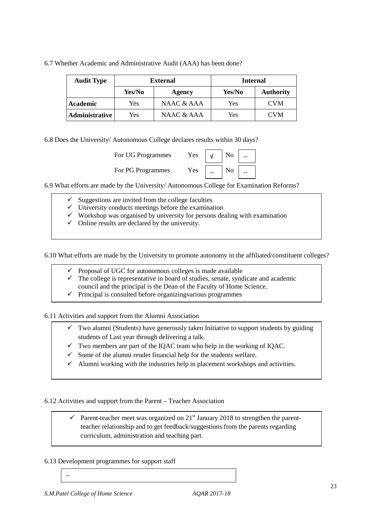| <b>Audit Type</b> | <b>External</b> |              | <b>Internal</b> |                  |
|-------------------|-----------------|--------------|-----------------|------------------|
|                   | Yes/No          | Agency       | Yes/No          | <b>Authority</b> |
| Academic          | Yes             | NAAC & AAA   | Yes             | <b>CVM</b>       |
| Administrative    | Yes             | NAAC $&$ AAA | Yes             | <b>CVM</b>       |

6.7 Whether Academic and Administrative Audit (AAA) has been done?

6.8 Does the University/ Autonomous College declares results within 30 days?

| Yes<br>For UG Programmes |       | N <sub>o</sub> |  |
|--------------------------|-------|----------------|--|
| Yes<br>For PG Programmes | $- -$ | No             |  |

6.9 What efforts are made by the University/ Autonomous College for Examination Reforms?

- Suggestions are invited from the college faculties
- $\checkmark$  University conducts meetings before the examination
- $\checkmark$  Workshop was organised by university for persons dealing with examination
- $\checkmark$  Online results are declared by the university.

6.10 What efforts are made by the University to promote autonomy in the affiliated/constituent colleges?

- $\checkmark$  Proposal of UGC for autonomous colleges is made available
- $\checkmark$  The college is representative in board of studies, senate, syndicate and academic council and the principal is the Dean of the Faculty of Home Science.
- $\checkmark$  Principal is consulted before organizing various programmes

6.11 Activities and support from the Alumni Association

- $\checkmark$  Two alumni (Students) have generously taken Initiative to support students by guiding students of Last year through delivering a talk.
- $\checkmark$  Two members are part of the IQAC team who help in the working of IQAC.
- $\checkmark$  Some of the alumni render financial help for the students welfare.
- $\checkmark$  Alumni working with the industries help in placement workshops and activities.

6.12 Activities and support from the Parent – Teacher Association

Parent-teacher meet was organized on  $21<sup>st</sup>$  January 2018 to strengthen the parentteacher relationship and to get feedback/suggestions from the parents regarding curriculum, administration and teaching part.

#### 6.13 Development programmes for support staff

--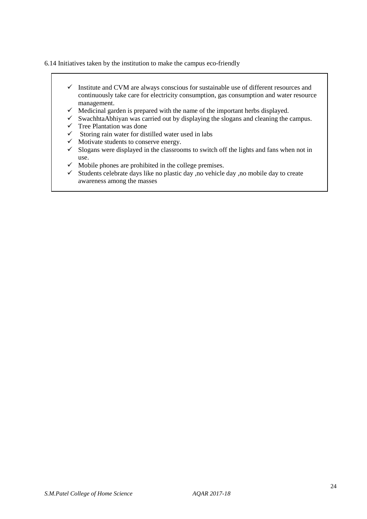6.14 Initiatives taken by the institution to make the campus eco-friendly

- $\checkmark$  Institute and CVM are always conscious for sustainable use of different resources and continuously take care for electricity consumption, gas consumption and water resource management.
- $\checkmark$  Medicinal garden is prepared with the name of the important herbs displayed.
- $\checkmark$  SwachhtaAbhiyan was carried out by displaying the slogans and cleaning the campus.
- $\checkmark$  Tree Plantation was done
- $\checkmark$  Storing rain water for distilled water used in labs
- $\checkmark$  Motivate students to conserve energy.
- $\checkmark$  Slogans were displayed in the classrooms to switch off the lights and fans when not in use.
- $\checkmark$  Mobile phones are prohibited in the college premises.
- $\checkmark$  Students celebrate days like no plastic day ,no vehicle day ,no mobile day to create awareness among the masses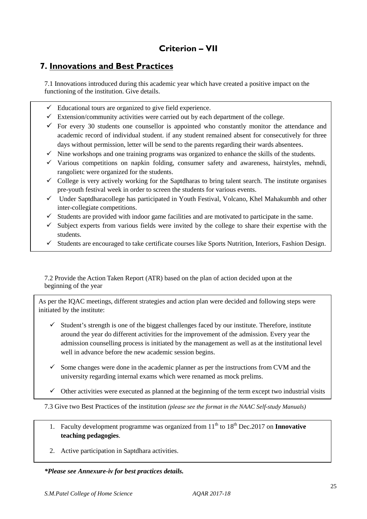# **Criterion – VII**

# **7. Innovations and Best Practices**

7.1 Innovations introduced during this academic year which have created a positive impact on the functioning of the institution. Give details.

- $\checkmark$  Educational tours are organized to give field experience.
- $\checkmark$  Extension/community activities were carried out by each department of the college.
- $\checkmark$  For every 30 students one counsellor is appointed who constantly monitor the attendance and academic record of individual student. if any student remained absent for consecutively for three days without permission, letter will be send to the parents regarding their wards absentees.
- $\checkmark$  Nine workshops and one training programs was organized to enhance the skills of the students.
- $\checkmark$  Various competitions on napkin folding, consumer safety and awareness, hairstyles, mehndi, rangolietc were organized for the students.
- $\checkmark$  College is very actively working for the Saptdharas to bring talent search. The institute organises pre-youth festival week in order to screen the students for various events.
- $\checkmark$  Under Saptdharacollege has participated in Youth Festival, Volcano, Khel Mahakumbh and other inter-collegiate competitions.
- $\checkmark$  Students are provided with indoor game facilities and are motivated to participate in the same.
- $\checkmark$  Subject experts from various fields were invited by the college to share their expertise with the students.
- $\checkmark$  Students are encouraged to take certificate courses like Sports Nutrition, Interiors, Fashion Design.

7.2 Provide the Action Taken Report (ATR) based on the plan of action decided upon at the beginning of the year

As per the IQAC meetings, different strategies and action plan were decided and following steps were initiated by the institute:

- $\checkmark$  Student's strength is one of the biggest challenges faced by our institute. Therefore, institute around the year do different activities for the improvement of the admission. Every year the admission counselling process is initiated by the management as well as at the institutional level well in advance before the new academic session begins.
- $\checkmark$  Some changes were done in the academic planner as per the instructions from CVM and the university regarding internal exams which were renamed as mock prelims.
- $\checkmark$  Other activities were executed as planned at the beginning of the term except two industrial visits

7.3 Give two Best Practices of the institution *(please see the format in the NAAC Self-study Manuals)*

- 1. Faculty development programme was organized from 11<sup>th</sup> to 18<sup>th</sup> Dec. 2017 on **Innovative teaching pedagogies**.
- 2. Active participation in Saptdhara activities.

#### *\*Please see Annexure-iv for best practices details.*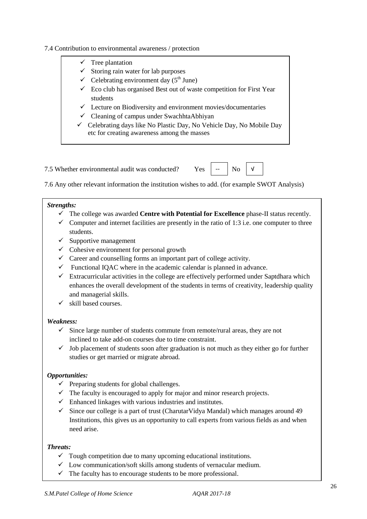#### 7.4 Contribution to environmental awareness / protection

 $\checkmark$  Tree plantation  $\checkmark$  Storing rain water for lab purposes  $\checkmark$  Celebrating environment day (5<sup>th</sup> June)  $\checkmark$  Eco club has organised Best out of waste competition for First Year students  $\checkmark$  Lecture on Biodiversity and environment movies/documentaries  $\checkmark$  Cleaning of campus under SwachhtaAbhiyan  $\checkmark$  Celebrating days like No Plastic Day, No Vehicle Day, No Mobile Day

7.5 Whether environmental audit was conducted? Yes

7.6 Any other relevant information the institution wishes to add. (for example SWOT Analysis)

#### *Strengths:*

- The college was awarded **Centre with Potential for Excellence** phase-II status recently.
- $\checkmark$  Computer and internet facilities are presently in the ratio of 1:3 i.e. one computer to three students.
- $\checkmark$  Supportive management
- $\checkmark$  Cohesive environment for personal growth
- $\checkmark$  Career and counselling forms an important part of college activity.

etc for creating awareness among the masses

- $\checkmark$  Functional IOAC where in the academic calendar is planned in advance.
- $\checkmark$  Extracurricular activities in the college are effectively performed under Saptdhara which enhances the overall development of the students in terms of creativity, leadership quality and managerial skills.
- $\checkmark$  skill based courses.

#### *Weakness:*

- $\checkmark$  Since large number of students commute from remote/rural areas, they are not inclined to take add-on courses due to time constraint.
- $\checkmark$  Job placement of students soon after graduation is not much as they either go for further studies or get married or migrate abroad.

#### *Opportunities:*

- $\checkmark$  Preparing students for global challenges.
- $\checkmark$  The faculty is encouraged to apply for major and minor research projects.
- $\checkmark$  Enhanced linkages with various industries and institutes.
- $\checkmark$  Since our college is a part of trust (CharutarVidya Mandal) which manages around 49 Institutions, this gives us an opportunity to call experts from various fields as and when need arise.

#### *Threats:*

- $\checkmark$  Tough competition due to many upcoming educational institutions.
- $\checkmark$  Low communication/soft skills among students of vernacular medium.
- $\checkmark$  The faculty has to encourage students to be more professional.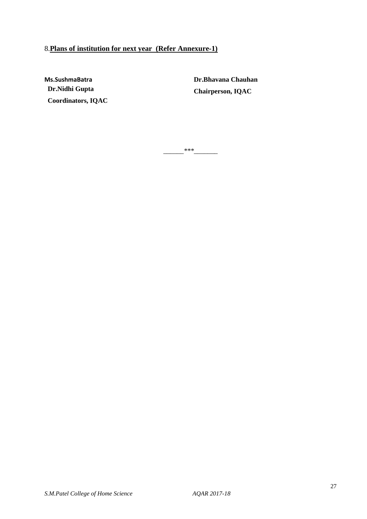# 8.**Plans of institution for next year (Refer Annexure-1)**

**Ms.SushmaBatra Dr.Nidhi Gupta Coordinators, IQAC** **Dr.Bhavana Chauhan Chairperson, IQAC** 

*\_\_\_\_\_\_\*\*\*\_\_\_\_\_\_\_*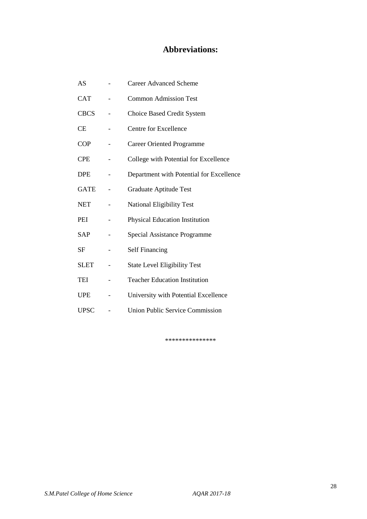# **Abbreviations:**

| AS          | <b>Career Advanced Scheme</b>            |
|-------------|------------------------------------------|
| <b>CAT</b>  | <b>Common Admission Test</b>             |
| <b>CBCS</b> | <b>Choice Based Credit System</b>        |
| СE          | <b>Centre for Excellence</b>             |
| <b>COP</b>  | <b>Career Oriented Programme</b>         |
| <b>CPE</b>  | College with Potential for Excellence    |
| <b>DPE</b>  | Department with Potential for Excellence |
| <b>GATE</b> | <b>Graduate Aptitude Test</b>            |
| <b>NET</b>  | <b>National Eligibility Test</b>         |
| PEI         | Physical Education Institution           |
| SAP         | <b>Special Assistance Programme</b>      |
| <b>SF</b>   | <b>Self Financing</b>                    |
| <b>SLET</b> | <b>State Level Eligibility Test</b>      |
| TEI         | <b>Teacher Education Institution</b>     |
| <b>UPE</b>  | University with Potential Excellence     |
| <b>UPSC</b> | <b>Union Public Service Commission</b>   |

\*\*\*\*\*\*\*\*\*\*\*\*\*\*\*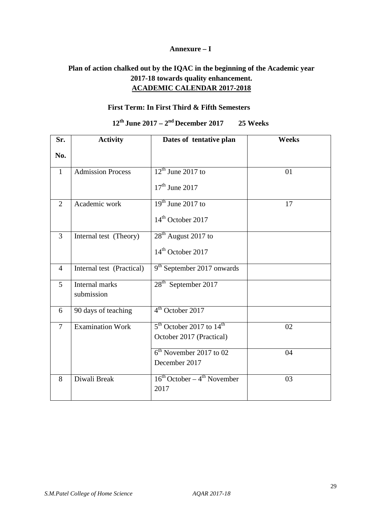#### **Annexure – I**

# **Plan of action chalked out by the IQAC in the beginning of the Academic year 2017-18 towards quality enhancement. ACADEMIC CALENDAR 2017-2018**

### **First Term: In First Third & Fifth Semesters**

# **12th June 2017 – 2nd December 2017 25 Weeks**

| Sr.            | <b>Activity</b>              | Dates of tentative plan                       | <b>Weeks</b> |
|----------------|------------------------------|-----------------------------------------------|--------------|
| No.            |                              |                                               |              |
| $\mathbf{1}$   | <b>Admission Process</b>     | $12th$ June 2017 to                           | 01           |
|                |                              | $17th$ June 2017                              |              |
| $\overline{2}$ | Academic work                | $19th$ June 2017 to                           | 17           |
|                |                              | $14th$ October 2017                           |              |
| 3              | Internal test (Theory)       | 28 <sup>th</sup> August 2017 to               |              |
|                |                              | 14 <sup>th</sup> October 2017                 |              |
| $\overline{4}$ | Internal test (Practical)    | 9 <sup>th</sup> September 2017 onwards        |              |
| 5              | Internal marks<br>submission | 28 <sup>th</sup> September 2017               |              |
| 6              | 90 days of teaching          | 4 <sup>th</sup> October 2017                  |              |
| $\overline{7}$ | <b>Examination Work</b>      | $5th$ October 2017 to $14th$                  | 02           |
|                |                              | October 2017 (Practical)                      |              |
|                |                              | $6th$ November 2017 to 02                     | 04           |
|                |                              | December 2017                                 |              |
| 8              | Diwali Break                 | $16^{th}$ October – $4^{th}$ November<br>2017 | 03           |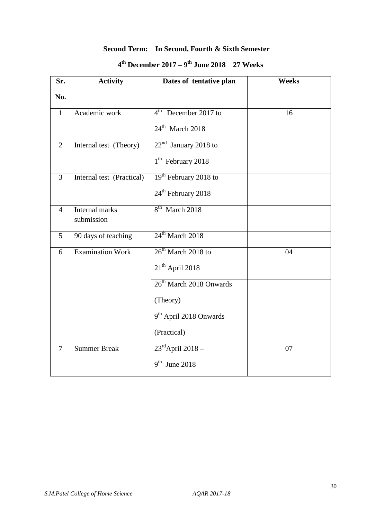# **Second Term: In Second, Fourth & Sixth Semester**

| $4th$ December 2017 – 9 <sup>th</sup> June 2018 – 27 Weeks |  |  |
|------------------------------------------------------------|--|--|
|------------------------------------------------------------|--|--|

| Sr.            | <b>Activity</b>           | Dates of tentative plan             | <b>Weeks</b> |
|----------------|---------------------------|-------------------------------------|--------------|
| No.            |                           |                                     |              |
| $\mathbf{1}$   | Academic work             | $4th$ December 2017 to              | 16           |
|                |                           | $24^{\text{th}}$ March 2018         |              |
| 2              | Internal test (Theory)    | $22nd$ January 2018 to              |              |
|                |                           | $1th$ February 2018                 |              |
| $\overline{3}$ | Internal test (Practical) | 19 <sup>th</sup> February 2018 to   |              |
|                |                           | 24 <sup>th</sup> February 2018      |              |
| $\overline{4}$ | Internal marks            | 8 <sup>th</sup> March 2018          |              |
|                | submission                |                                     |              |
| 5              | 90 days of teaching       | $24^{\text{th}}$ March 2018         |              |
| 6              | <b>Examination Work</b>   | $26th$ March 2018 to                | 04           |
|                |                           | $21th$ April 2018                   |              |
|                |                           | 26 <sup>th</sup> March 2018 Onwards |              |
|                |                           | (Theory)                            |              |
|                |                           | 9 <sup>th</sup> April 2018 Onwards  |              |
|                |                           | (Practical)                         |              |
| $\overline{7}$ | <b>Summer Break</b>       | $23^{\text{rd}}$ April 2018 -       | 07           |
|                |                           | $9th$ June 2018                     |              |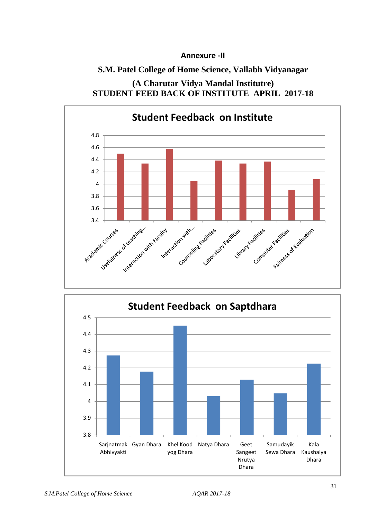### **Annexure -II**

# **S.M. Patel College of Home Science, Vallabh Vidyanagar**

# **(A Charutar Vidya Mandal Institutre) STUDENT FEED BACK OF INSTITUTE APRIL 2017-18**



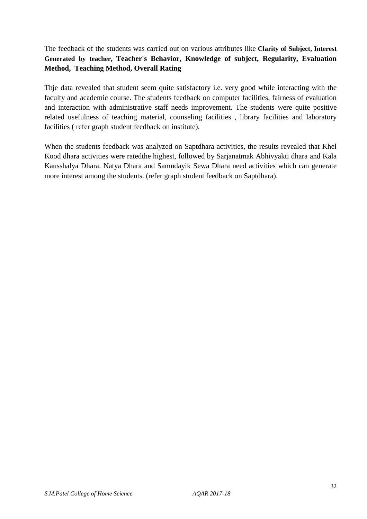### The feedback of the students was carried out on various attributes like **Clarity of Subject, Interest Generated by teacher, Teacher's Behavior, Knowledge of subject, Regularity, Evaluation Method, Teaching Method, Overall Rating**

Thje data revealed that student seem quite satisfactory i.e. very good while interacting with the faculty and academic course. The students feedback on computer facilities, fairness of evaluation and interaction with administrative staff needs improvement. The students were quite positive related usefulness of teaching material, counseling facilities , library facilities and laboratory facilities ( refer graph student feedback on institute).

When the students feedback was analyzed on Saptdhara activities, the results revealed that Khel Kood dhara activities were ratedthe highest, followed by Sarjanatmak Abhivyakti dhara and Kala Kausshalya Dhara. Natya Dhara and Samudayik Sewa Dhara need activities which can generate more interest among the students. (refer graph student feedback on Saptdhara).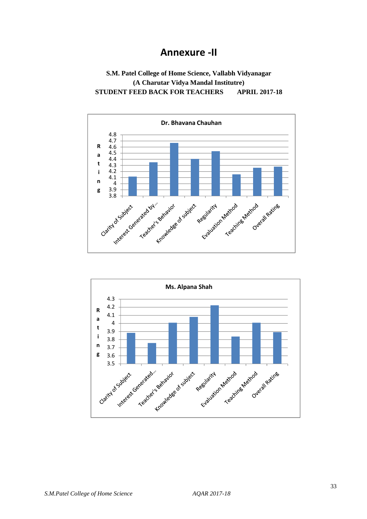# **Annexure -II**

### **S.M. Patel College of Home Science, Vallabh Vidyanagar (A Charutar Vidya Mandal Institutre) STUDENT FEED BACK FOR TEACHERS APRIL 2017-18**



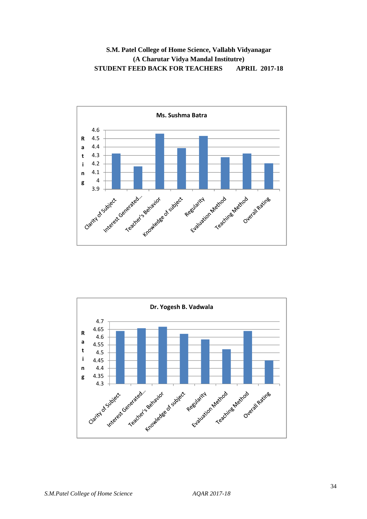### **S.M. Patel College of Home Science, Vallabh Vidyanagar (A Charutar Vidya Mandal Institutre) STUDENT FEED BACK FOR TEACHERS APRIL 2017-18**



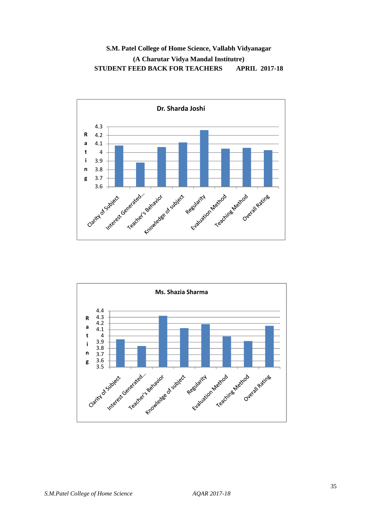### **S.M. Patel College of Home Science, Vallabh Vidyanagar (A Charutar Vidya Mandal Institutre) STUDENT FEED BACK FOR TEACHERS APRIL 2017-18**



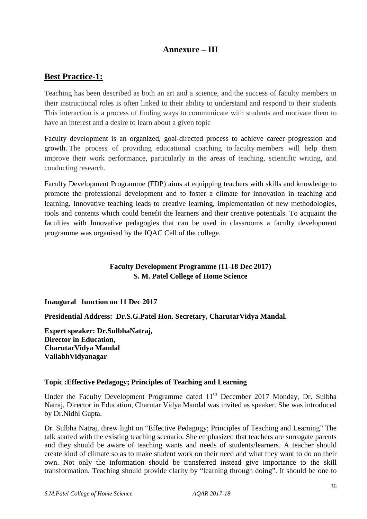# **Annexure – III**

# **Best Practice-1:**

Teaching has been described as both an art and a science, and the success of faculty members in their instructional roles is often linked to their ability to understand and respond to their students This interaction is a process of finding ways to communicate with students and motivate them to have an interest and a desire to learn about a given topic

Faculty development is an organized, goal-directed process to achieve career progression and growth. The process of providing educational coaching to faculty members will help them improve their work performance, particularly in the areas of teaching, scientific writing, and conducting research.

Faculty Development Programme (FDP) aims at equipping teachers with skills and knowledge to promote the professional development and to foster a climate for innovation in teaching and learning. Innovative teaching leads to creative learning, implementation of new methodologies, tools and contents which could benefit the learners and their creative potentials. To acquaint the faculties with Innovative pedagogies that can be used in classrooms a faculty development programme was organised by the IQAC Cell of the college.

### **Faculty Development Programme (11-18 Dec 2017) S. M. Patel College of Home Science**

**Inaugural function on 11 Dec 2017** 

**Presidential Address: Dr.S.G.Patel Hon. Secretary, CharutarVidya Mandal.** 

**Expert speaker: Dr.SulbhaNatraj, Director in Education, CharutarVidya Mandal VallabhVidyanagar** 

### **Topic :Effective Pedagogy; Principles of Teaching and Learning**

Under the Faculty Development Programme dated  $11<sup>th</sup>$  December 2017 Monday, Dr. Sulbha Natraj, Director in Education, Charutar Vidya Mandal was invited as speaker. She was introduced by Dr.Nidhi Gupta.

Dr. Sulbha Natraj, threw light on "Effective Pedagogy; Principles of Teaching and Learning" The talk started with the existing teaching scenario. She emphasized that teachers are surrogate parents and they should be aware of teaching wants and needs of students/learners. A teacher should create kind of climate so as to make student work on their need and what they want to do on their own. Not only the information should be transferred instead give importance to the skill transformation. Teaching should provide clarity by "learning through doing". It should be one to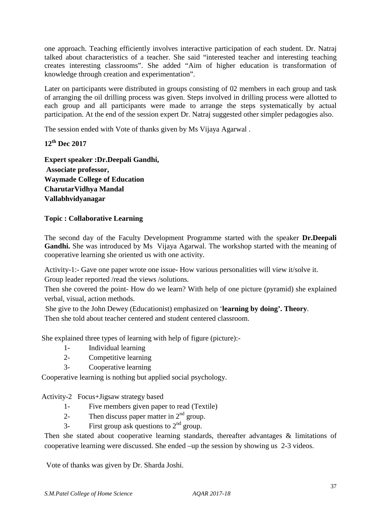one approach. Teaching efficiently involves interactive participation of each student. Dr. Natraj talked about characteristics of a teacher. She said "interested teacher and interesting teaching creates interesting classrooms". She added "Aim of higher education is transformation of knowledge through creation and experimentation".

Later on participants were distributed in groups consisting of 02 members in each group and task of arranging the oil drilling process was given. Steps involved in drilling process were allotted to each group and all participants were made to arrange the steps systematically by actual participation. At the end of the session expert Dr. Natraj suggested other simpler pedagogies also.

The session ended with Vote of thanks given by Ms Vijaya Agarwal .

# **12th Dec 2017**

**Expert speaker :Dr.Deepali Gandhi, Associate professor, Waymade College of Education CharutarVidhya Mandal Vallabhvidyanagar** 

### **Topic : Collaborative Learning**

The second day of the Faculty Development Programme started with the speaker **Dr.Deepali Gandhi.** She was introduced by Ms Vijaya Agarwal. The workshop started with the meaning of cooperative learning she oriented us with one activity.

Activity-1:- Gave one paper wrote one issue- How various personalities will view it/solve it. Group leader reported /read the views /solutions.

Then she covered the point- How do we learn? With help of one picture (pyramid) she explained verbal, visual, action methods.

 She give to the John Dewey (Educationist) emphasized on '**learning by doing'. Theory**. Then she told about teacher centered and student centered classroom.

She explained three types of learning with help of figure (picture):-

- 1- Individual learning
- 2- Competitive learning
- 3- Cooperative learning

Cooperative learning is nothing but applied social psychology.

Activity-2 Focus+Jigsaw strategy based

- 1- Five members given paper to read (Textile)
- 2- Then discuss paper matter in  $2<sup>nd</sup>$  group.
- 3- First group ask questions to  $2<sup>nd</sup>$  group.

Then she stated about cooperative learning standards, thereafter advantages & limitations of cooperative learning were discussed. She ended –up the session by showing us 2-3 videos.

Vote of thanks was given by Dr. Sharda Joshi.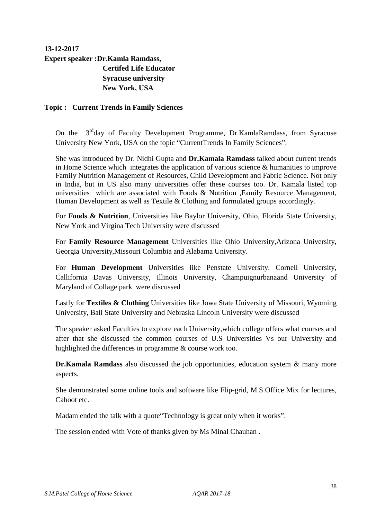# **13-12-2017 Expert speaker :Dr.Kamla Ramdass, Certifed Life Educator Syracuse university New York, USA**

#### **Topic : Current Trends in Family Sciences**

On the 3<sup>rd</sup>day of Faculty Development Programme, Dr.KamlaRamdass, from Syracuse University New York, USA on the topic "CurrentTrends In Family Sciences".

She was introduced by Dr. Nidhi Gupta and **Dr.Kamala Ramdass** talked about current trends in Home Science which integrates the application of various science & humanities to improve Family Nutrition Management of Resources, Child Development and Fabric Science. Not only in India, but in US also many universities offer these courses too. Dr. Kamala listed top universities which are associated with Foods & Nutrition ,Family Resource Management, Human Development as well as Textile & Clothing and formulated groups accordingly.

For **Foods & Nutrition**, Universities like Baylor University, Ohio, Florida State University, New York and Virgina Tech University were discussed

For **Family Resource Management** Universities like Ohio University,Arizona University, Georgia University,Missouri Columbia and Alabama University.

For **Human Development** Universities like Penstate University. Cornell University, Callifornia Davas University, Illinois University, Champuignurbanaand University of Maryland of Collage park were discussed

Lastly for **Textiles & Clothing** Universities like Jowa State University of Missouri, Wyoming University, Ball State University and Nebraska Lincoln University were discussed

The speaker asked Faculties to explore each University,which college offers what courses and after that she discussed the common courses of U.S Universities Vs our University and highlighted the differences in programme & course work too.

**Dr.Kamala Ramdass** also discussed the job opportunities, education system & many more aspects.

She demonstrated some online tools and software like Flip-grid, M.S.Office Mix for lectures, Cahoot etc.

Madam ended the talk with a quote"Technology is great only when it works".

The session ended with Vote of thanks given by Ms Minal Chauhan .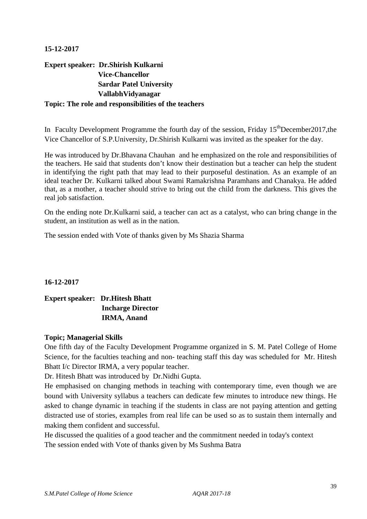#### **15-12-2017**

# **Expert speaker: Dr.Shirish Kulkarni Vice-Chancellor Sardar Patel University VallabhVidyanagar Topic: The role and responsibilities of the teachers**

In Faculty Development Programme the fourth day of the session, Friday  $15<sup>th</sup>$ December2017.the Vice Chancellor of S.P.University, Dr.Shirish Kulkarni was invited as the speaker for the day.

He was introduced by Dr.Bhavana Chauhan and he emphasized on the role and responsibilities of the teachers. He said that students don't know their destination but a teacher can help the student in identifying the right path that may lead to their purposeful destination. As an example of an ideal teacher Dr. Kulkarni talked about Swami Ramakrishna Paramhans and Chanakya. He added that, as a mother, a teacher should strive to bring out the child from the darkness. This gives the real job satisfaction.

On the ending note Dr.Kulkarni said, a teacher can act as a catalyst, who can bring change in the student, an institution as well as in the nation.

The session ended with Vote of thanks given by Ms Shazia Sharma

**16-12-2017** 

# **Expert speaker: Dr.Hitesh Bhatt Incharge Director IRMA, Anand**

### **Topic; Managerial Skills**

One fifth day of the Faculty Development Programme organized in S. M. Patel College of Home Science, for the faculties teaching and non- teaching staff this day was scheduled for Mr. Hitesh Bhatt I/c Director IRMA, a very popular teacher.

Dr. Hitesh Bhatt was introduced by Dr.Nidhi Gupta.

He emphasised on changing methods in teaching with contemporary time, even though we are bound with University syllabus a teachers can dedicate few minutes to introduce new things. He asked to change dynamic in teaching if the students in class are not paying attention and getting distracted use of stories, examples from real life can be used so as to sustain them internally and making them confident and successful.

He discussed the qualities of a good teacher and the commitment needed in today's context The session ended with Vote of thanks given by Ms Sushma Batra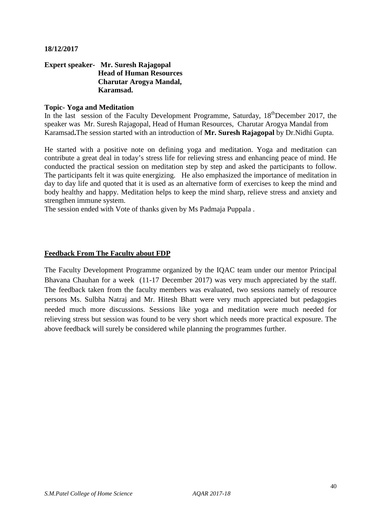#### **18/12/2017**

#### **Expert speaker- Mr. Suresh Rajagopal Head of Human Resources Charutar Arogya Mandal, Karamsad.**

#### **Topic- Yoga and Meditation**

In the last session of the Faculty Development Programme, Saturday,  $18^{th}$ December 2017, the speaker was Mr. Suresh Rajagopal, Head of Human Resources, Charutar Arogya Mandal from Karamsad**.**The session started with an introduction of **Mr. Suresh Rajagopal** by Dr.Nidhi Gupta.

He started with a positive note on defining yoga and meditation. Yoga and meditation can contribute a great deal in today's stress life for relieving stress and enhancing peace of mind. He conducted the practical session on meditation step by step and asked the participants to follow. The participants felt it was quite energizing. He also emphasized the importance of meditation in day to day life and quoted that it is used as an alternative form of exercises to keep the mind and body healthy and happy. Meditation helps to keep the mind sharp, relieve stress and anxiety and strengthen immune system.

The session ended with Vote of thanks given by Ms Padmaja Puppala .

#### **Feedback From The Faculty about FDP**

The Faculty Development Programme organized by the IQAC team under our mentor Principal Bhavana Chauhan for a week (11-17 December 2017) was very much appreciated by the staff. The feedback taken from the faculty members was evaluated, two sessions namely of resource persons Ms. Sulbha Natraj and Mr. Hitesh Bhatt were very much appreciated but pedagogies needed much more discussions. Sessions like yoga and meditation were much needed for relieving stress but session was found to be very short which needs more practical exposure. The above feedback will surely be considered while planning the programmes further.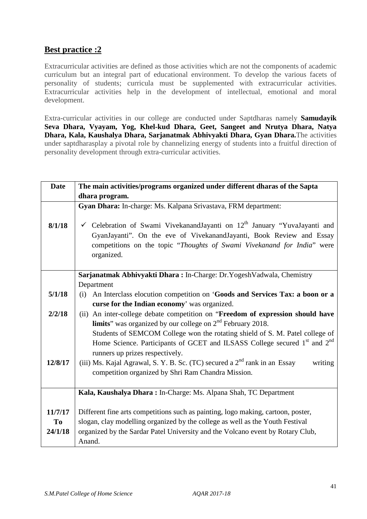# **Best practice :2**

Extracurricular activities are defined as those activities which are not the components of academic curriculum but an integral part of educational environment. To develop the various facets of personality of students; curricula must be supplemented with extracurricular activities. Extracurricular activities help in the development of intellectual, emotional and moral development.

Extra-curricular activities in our college are conducted under Saptdharas namely **Samudayik Seva Dhara, Vyayam, Yog, Khel-kud Dhara, Geet, Sangeet and Nrutya Dhara, Natya Dhara, Kala, Kaushalya Dhara, Sarjanatmak Abhivyakti Dhara, Gyan Dhara.**The activities under saptdharasplay a pivotal role by channelizing energy of students into a fruitful direction of personality development through extra-curricular activities.

| <b>Date</b> | The main activities/programs organized under different dharas of the Sapta                        |  |  |
|-------------|---------------------------------------------------------------------------------------------------|--|--|
|             | dhara program.                                                                                    |  |  |
|             | Gyan Dhara: In-charge: Ms. Kalpana Srivastava, FRM department:                                    |  |  |
|             |                                                                                                   |  |  |
| 8/1/18      | Celebration of Swami Vivekanand Jayanti on $12th$ January "Yuva Jayanti and                       |  |  |
|             | GyanJayanti". On the eve of VivekanandJayanti, Book Review and Essay                              |  |  |
|             | competitions on the topic "Thoughts of Swami Vivekanand for India" were                           |  |  |
|             | organized.                                                                                        |  |  |
|             |                                                                                                   |  |  |
|             | Sarjanatmak Abhivyakti Dhara: In-Charge: Dr.YogeshVadwala, Chemistry                              |  |  |
| 5/1/18      | Department<br>An Interclass elocution competition on 'Goods and Services Tax: a boon or a<br>(i)  |  |  |
|             | curse for the Indian economy' was organized.                                                      |  |  |
| 2/2/18      | An inter-college debate competition on "Freedom of expression should have<br>(ii)                 |  |  |
|             | <b>limits</b> " was organized by our college on $2nd$ February 2018.                              |  |  |
|             | Students of SEMCOM College won the rotating shield of S. M. Patel college of                      |  |  |
|             | Home Science. Participants of GCET and ILSASS College secured 1 <sup>st</sup> and 2 <sup>nd</sup> |  |  |
|             | runners up prizes respectively.                                                                   |  |  |
| 12/8/17     | (iii) Ms. Kajal Agrawal, S. Y. B. Sc. (TC) secured a 2 <sup>nd</sup> rank in an Essay<br>writing  |  |  |
|             | competition organized by Shri Ram Chandra Mission.                                                |  |  |
|             |                                                                                                   |  |  |
|             | Kala, Kaushalya Dhara: In-Charge: Ms. Alpana Shah, TC Department                                  |  |  |
|             |                                                                                                   |  |  |
| 11/7/17     | Different fine arts competitions such as painting, logo making, cartoon, poster,                  |  |  |
| To          | slogan, clay modelling organized by the college as well as the Youth Festival                     |  |  |
| 24/1/18     | organized by the Sardar Patel University and the Volcano event by Rotary Club,                    |  |  |
|             | Anand.                                                                                            |  |  |
|             |                                                                                                   |  |  |